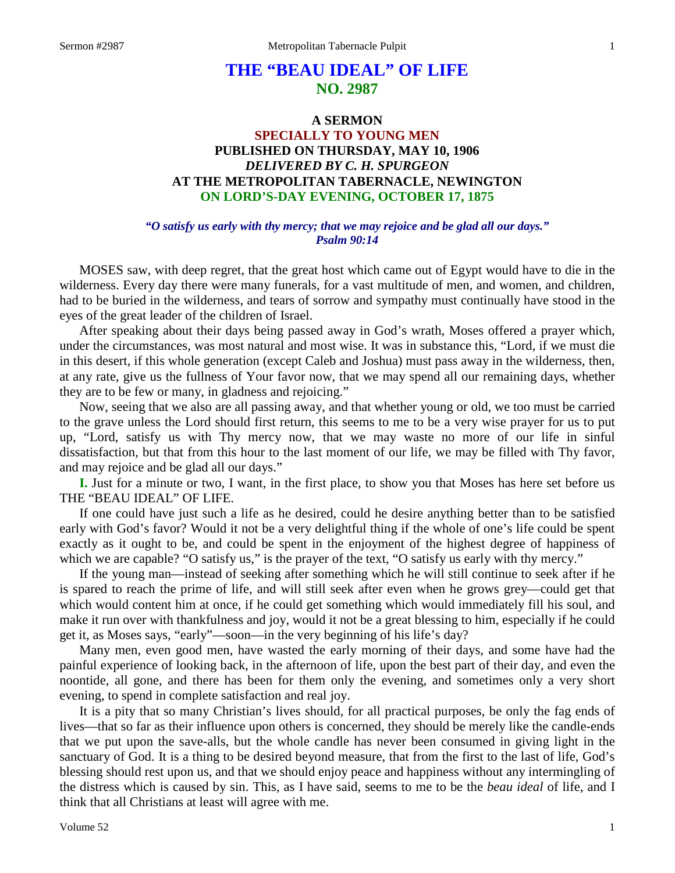## **THE "BEAU IDEAL" OF LIFE NO. 2987**

## **A SERMON SPECIALLY TO YOUNG MEN PUBLISHED ON THURSDAY, MAY 10, 1906** *DELIVERED BY C. H. SPURGEON* **AT THE METROPOLITAN TABERNACLE, NEWINGTON ON LORD'S-DAY EVENING, OCTOBER 17, 1875**

## *"O satisfy us early with thy mercy; that we may rejoice and be glad all our days." Psalm 90:14*

MOSES saw, with deep regret, that the great host which came out of Egypt would have to die in the wilderness. Every day there were many funerals, for a vast multitude of men, and women, and children, had to be buried in the wilderness, and tears of sorrow and sympathy must continually have stood in the eyes of the great leader of the children of Israel.

After speaking about their days being passed away in God's wrath, Moses offered a prayer which, under the circumstances, was most natural and most wise. It was in substance this, "Lord, if we must die in this desert, if this whole generation (except Caleb and Joshua) must pass away in the wilderness, then, at any rate, give us the fullness of Your favor now, that we may spend all our remaining days, whether they are to be few or many, in gladness and rejoicing."

Now, seeing that we also are all passing away, and that whether young or old, we too must be carried to the grave unless the Lord should first return, this seems to me to be a very wise prayer for us to put up, "Lord, satisfy us with Thy mercy now, that we may waste no more of our life in sinful dissatisfaction, but that from this hour to the last moment of our life, we may be filled with Thy favor, and may rejoice and be glad all our days."

**I.** Just for a minute or two, I want, in the first place, to show you that Moses has here set before us THE "BEAU IDEAL" OF LIFE.

If one could have just such a life as he desired, could he desire anything better than to be satisfied early with God's favor? Would it not be a very delightful thing if the whole of one's life could be spent exactly as it ought to be, and could be spent in the enjoyment of the highest degree of happiness of which we are capable? "O satisfy us," is the prayer of the text, "O satisfy us early with thy mercy."

If the young man—instead of seeking after something which he will still continue to seek after if he is spared to reach the prime of life, and will still seek after even when he grows grey—could get that which would content him at once, if he could get something which would immediately fill his soul, and make it run over with thankfulness and joy, would it not be a great blessing to him, especially if he could get it, as Moses says, "early"—soon—in the very beginning of his life's day?

Many men, even good men, have wasted the early morning of their days, and some have had the painful experience of looking back, in the afternoon of life, upon the best part of their day, and even the noontide, all gone, and there has been for them only the evening, and sometimes only a very short evening, to spend in complete satisfaction and real joy.

It is a pity that so many Christian's lives should, for all practical purposes, be only the fag ends of lives—that so far as their influence upon others is concerned, they should be merely like the candle-ends that we put upon the save-alls, but the whole candle has never been consumed in giving light in the sanctuary of God. It is a thing to be desired beyond measure, that from the first to the last of life, God's blessing should rest upon us, and that we should enjoy peace and happiness without any intermingling of the distress which is caused by sin. This, as I have said, seems to me to be the *beau ideal* of life, and I think that all Christians at least will agree with me.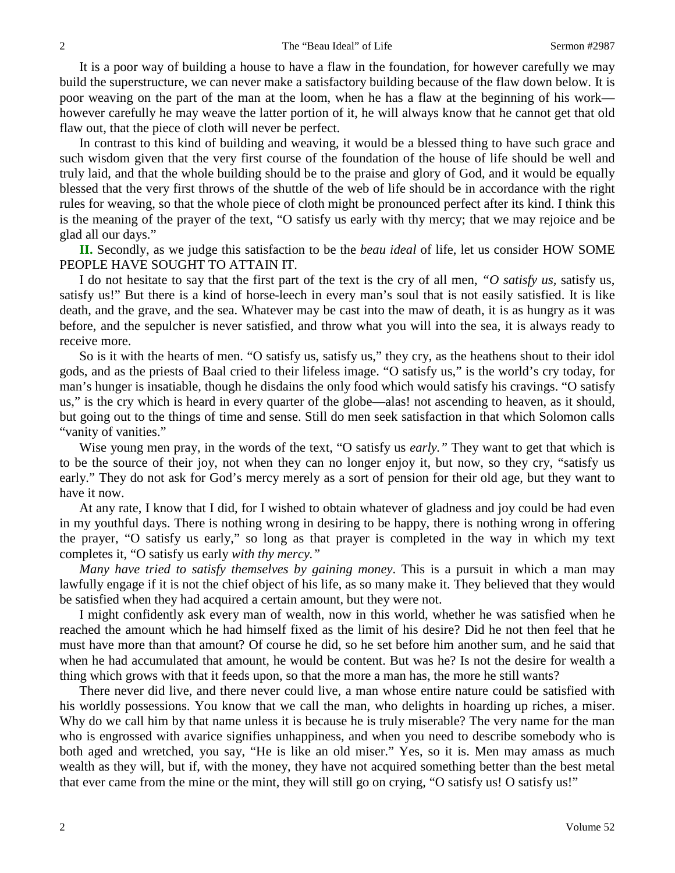It is a poor way of building a house to have a flaw in the foundation, for however carefully we may build the superstructure, we can never make a satisfactory building because of the flaw down below. It is poor weaving on the part of the man at the loom, when he has a flaw at the beginning of his work however carefully he may weave the latter portion of it, he will always know that he cannot get that old flaw out, that the piece of cloth will never be perfect.

In contrast to this kind of building and weaving, it would be a blessed thing to have such grace and such wisdom given that the very first course of the foundation of the house of life should be well and truly laid, and that the whole building should be to the praise and glory of God, and it would be equally blessed that the very first throws of the shuttle of the web of life should be in accordance with the right rules for weaving, so that the whole piece of cloth might be pronounced perfect after its kind. I think this is the meaning of the prayer of the text, "O satisfy us early with thy mercy; that we may rejoice and be glad all our days."

**II.** Secondly, as we judge this satisfaction to be the *beau ideal* of life, let us consider HOW SOME PEOPLE HAVE SOUGHT TO ATTAIN IT.

I do not hesitate to say that the first part of the text is the cry of all men, *"O satisfy us,* satisfy us, satisfy us!" But there is a kind of horse-leech in every man's soul that is not easily satisfied. It is like death, and the grave, and the sea. Whatever may be cast into the maw of death, it is as hungry as it was before, and the sepulcher is never satisfied, and throw what you will into the sea, it is always ready to receive more.

So is it with the hearts of men. "O satisfy us, satisfy us," they cry, as the heathens shout to their idol gods, and as the priests of Baal cried to their lifeless image. "O satisfy us," is the world's cry today, for man's hunger is insatiable, though he disdains the only food which would satisfy his cravings. "O satisfy us," is the cry which is heard in every quarter of the globe—alas! not ascending to heaven, as it should, but going out to the things of time and sense. Still do men seek satisfaction in that which Solomon calls "vanity of vanities."

Wise young men pray, in the words of the text, "O satisfy us *early."* They want to get that which is to be the source of their joy, not when they can no longer enjoy it, but now, so they cry, "satisfy us early." They do not ask for God's mercy merely as a sort of pension for their old age, but they want to have it now.

At any rate, I know that I did, for I wished to obtain whatever of gladness and joy could be had even in my youthful days. There is nothing wrong in desiring to be happy, there is nothing wrong in offering the prayer, "O satisfy us early," so long as that prayer is completed in the way in which my text completes it, "O satisfy us early *with thy mercy."*

*Many have tried to satisfy themselves by gaining money*. This is a pursuit in which a man may lawfully engage if it is not the chief object of his life, as so many make it. They believed that they would be satisfied when they had acquired a certain amount, but they were not.

I might confidently ask every man of wealth, now in this world, whether he was satisfied when he reached the amount which he had himself fixed as the limit of his desire? Did he not then feel that he must have more than that amount? Of course he did, so he set before him another sum, and he said that when he had accumulated that amount, he would be content. But was he? Is not the desire for wealth a thing which grows with that it feeds upon, so that the more a man has, the more he still wants?

There never did live, and there never could live, a man whose entire nature could be satisfied with his worldly possessions. You know that we call the man, who delights in hoarding up riches, a miser. Why do we call him by that name unless it is because he is truly miserable? The very name for the man who is engrossed with avarice signifies unhappiness, and when you need to describe somebody who is both aged and wretched, you say, "He is like an old miser." Yes, so it is. Men may amass as much wealth as they will, but if, with the money, they have not acquired something better than the best metal that ever came from the mine or the mint, they will still go on crying, "O satisfy us! O satisfy us!"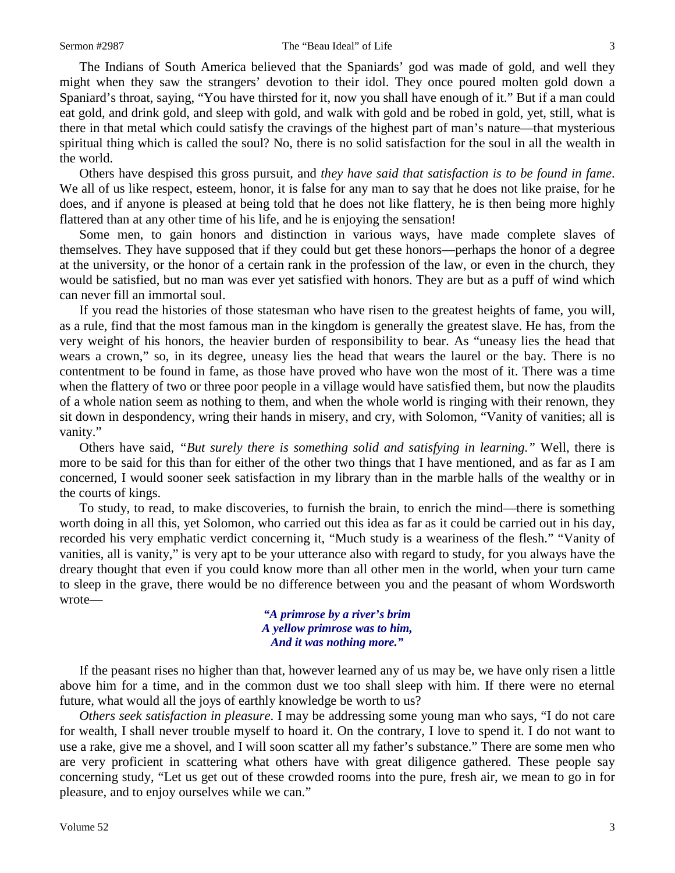The Indians of South America believed that the Spaniards' god was made of gold, and well they might when they saw the strangers' devotion to their idol. They once poured molten gold down a Spaniard's throat, saying, "You have thirsted for it, now you shall have enough of it." But if a man could eat gold, and drink gold, and sleep with gold, and walk with gold and be robed in gold, yet, still, what is there in that metal which could satisfy the cravings of the highest part of man's nature—that mysterious spiritual thing which is called the soul? No, there is no solid satisfaction for the soul in all the wealth in the world.

Others have despised this gross pursuit, and *they have said that satisfaction is to be found in fame*. We all of us like respect, esteem, honor, it is false for any man to say that he does not like praise, for he does, and if anyone is pleased at being told that he does not like flattery, he is then being more highly flattered than at any other time of his life, and he is enjoying the sensation!

Some men, to gain honors and distinction in various ways, have made complete slaves of themselves. They have supposed that if they could but get these honors—perhaps the honor of a degree at the university, or the honor of a certain rank in the profession of the law, or even in the church, they would be satisfied, but no man was ever yet satisfied with honors. They are but as a puff of wind which can never fill an immortal soul.

If you read the histories of those statesman who have risen to the greatest heights of fame, you will, as a rule, find that the most famous man in the kingdom is generally the greatest slave. He has, from the very weight of his honors, the heavier burden of responsibility to bear. As "uneasy lies the head that wears a crown," so, in its degree, uneasy lies the head that wears the laurel or the bay. There is no contentment to be found in fame, as those have proved who have won the most of it. There was a time when the flattery of two or three poor people in a village would have satisfied them, but now the plaudits of a whole nation seem as nothing to them, and when the whole world is ringing with their renown, they sit down in despondency, wring their hands in misery, and cry, with Solomon, "Vanity of vanities; all is vanity."

Others have said, *"But surely there is something solid and satisfying in learning."* Well, there is more to be said for this than for either of the other two things that I have mentioned, and as far as I am concerned, I would sooner seek satisfaction in my library than in the marble halls of the wealthy or in the courts of kings.

To study, to read, to make discoveries, to furnish the brain, to enrich the mind—there is something worth doing in all this, yet Solomon, who carried out this idea as far as it could be carried out in his day, recorded his very emphatic verdict concerning it, "Much study is a weariness of the flesh." "Vanity of vanities, all is vanity," is very apt to be your utterance also with regard to study, for you always have the dreary thought that even if you could know more than all other men in the world, when your turn came to sleep in the grave, there would be no difference between you and the peasant of whom Wordsworth wrote—

> *"A primrose by a river's brim A yellow primrose was to him, And it was nothing more."*

If the peasant rises no higher than that, however learned any of us may be, we have only risen a little above him for a time, and in the common dust we too shall sleep with him. If there were no eternal future, what would all the joys of earthly knowledge be worth to us?

*Others seek satisfaction in pleasure*. I may be addressing some young man who says, "I do not care for wealth, I shall never trouble myself to hoard it. On the contrary, I love to spend it. I do not want to use a rake, give me a shovel, and I will soon scatter all my father's substance." There are some men who are very proficient in scattering what others have with great diligence gathered. These people say concerning study, "Let us get out of these crowded rooms into the pure, fresh air, we mean to go in for pleasure, and to enjoy ourselves while we can."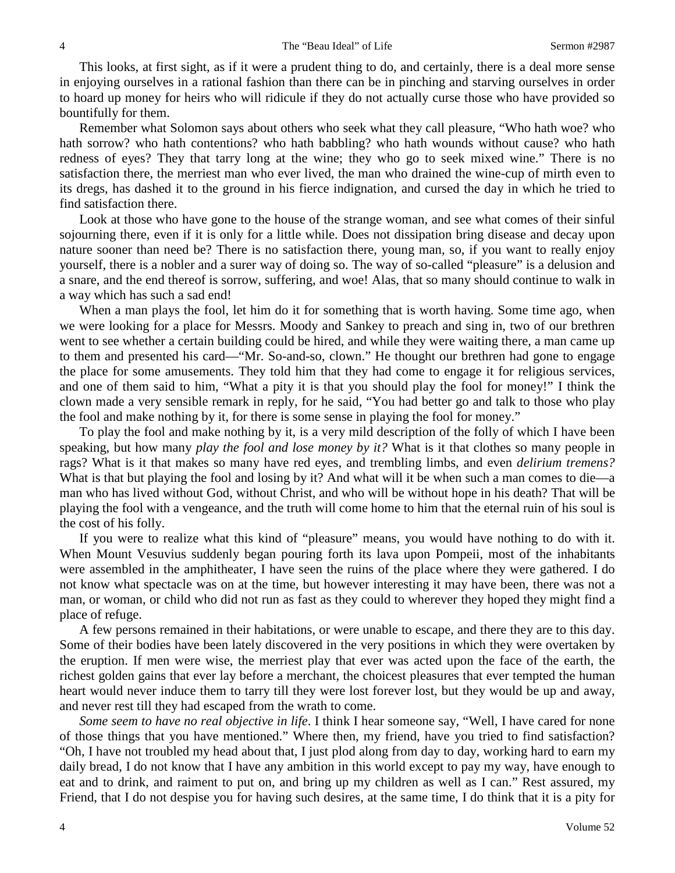This looks, at first sight, as if it were a prudent thing to do, and certainly, there is a deal more sense in enjoying ourselves in a rational fashion than there can be in pinching and starving ourselves in order to hoard up money for heirs who will ridicule if they do not actually curse those who have provided so bountifully for them.

Remember what Solomon says about others who seek what they call pleasure, "Who hath woe? who hath sorrow? who hath contentions? who hath babbling? who hath wounds without cause? who hath redness of eyes? They that tarry long at the wine; they who go to seek mixed wine." There is no satisfaction there, the merriest man who ever lived, the man who drained the wine-cup of mirth even to its dregs, has dashed it to the ground in his fierce indignation, and cursed the day in which he tried to find satisfaction there.

Look at those who have gone to the house of the strange woman, and see what comes of their sinful sojourning there, even if it is only for a little while. Does not dissipation bring disease and decay upon nature sooner than need be? There is no satisfaction there, young man, so, if you want to really enjoy yourself, there is a nobler and a surer way of doing so. The way of so-called "pleasure" is a delusion and a snare, and the end thereof is sorrow, suffering, and woe! Alas, that so many should continue to walk in a way which has such a sad end!

When a man plays the fool, let him do it for something that is worth having. Some time ago, when we were looking for a place for Messrs. Moody and Sankey to preach and sing in, two of our brethren went to see whether a certain building could be hired, and while they were waiting there, a man came up to them and presented his card—"Mr. So-and-so, clown." He thought our brethren had gone to engage the place for some amusements. They told him that they had come to engage it for religious services, and one of them said to him, "What a pity it is that you should play the fool for money!" I think the clown made a very sensible remark in reply, for he said, "You had better go and talk to those who play the fool and make nothing by it, for there is some sense in playing the fool for money."

To play the fool and make nothing by it, is a very mild description of the folly of which I have been speaking, but how many *play the fool and lose money by it?* What is it that clothes so many people in rags? What is it that makes so many have red eyes, and trembling limbs, and even *delirium tremens?* What is that but playing the fool and losing by it? And what will it be when such a man comes to die—a man who has lived without God, without Christ, and who will be without hope in his death? That will be playing the fool with a vengeance, and the truth will come home to him that the eternal ruin of his soul is the cost of his folly.

If you were to realize what this kind of "pleasure" means, you would have nothing to do with it. When Mount Vesuvius suddenly began pouring forth its lava upon Pompeii, most of the inhabitants were assembled in the amphitheater, I have seen the ruins of the place where they were gathered. I do not know what spectacle was on at the time, but however interesting it may have been, there was not a man, or woman, or child who did not run as fast as they could to wherever they hoped they might find a place of refuge.

A few persons remained in their habitations, or were unable to escape, and there they are to this day. Some of their bodies have been lately discovered in the very positions in which they were overtaken by the eruption. If men were wise, the merriest play that ever was acted upon the face of the earth, the richest golden gains that ever lay before a merchant, the choicest pleasures that ever tempted the human heart would never induce them to tarry till they were lost forever lost, but they would be up and away, and never rest till they had escaped from the wrath to come.

*Some seem to have no real objective in life*. I think I hear someone say, "Well, I have cared for none of those things that you have mentioned." Where then, my friend, have you tried to find satisfaction? "Oh, I have not troubled my head about that, I just plod along from day to day, working hard to earn my daily bread, I do not know that I have any ambition in this world except to pay my way, have enough to eat and to drink, and raiment to put on, and bring up my children as well as I can." Rest assured, my Friend, that I do not despise you for having such desires, at the same time, I do think that it is a pity for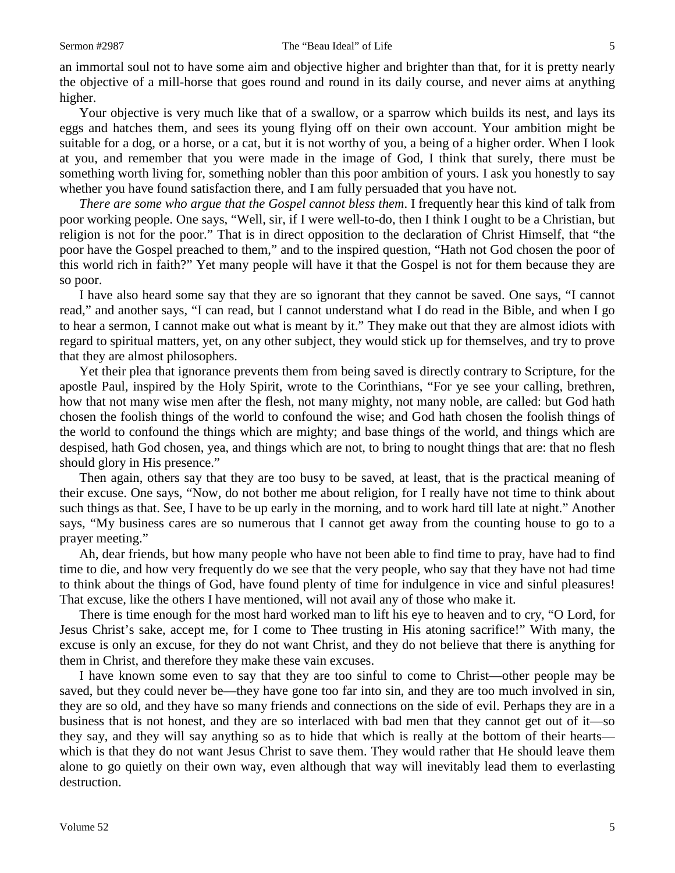an immortal soul not to have some aim and objective higher and brighter than that, for it is pretty nearly the objective of a mill-horse that goes round and round in its daily course, and never aims at anything higher.

Your objective is very much like that of a swallow, or a sparrow which builds its nest, and lays its eggs and hatches them, and sees its young flying off on their own account. Your ambition might be suitable for a dog, or a horse, or a cat, but it is not worthy of you, a being of a higher order. When I look at you, and remember that you were made in the image of God, I think that surely, there must be something worth living for, something nobler than this poor ambition of yours. I ask you honestly to say whether you have found satisfaction there, and I am fully persuaded that you have not.

*There are some who argue that the Gospel cannot bless them*. I frequently hear this kind of talk from poor working people. One says, "Well, sir, if I were well-to-do, then I think I ought to be a Christian, but religion is not for the poor." That is in direct opposition to the declaration of Christ Himself, that "the poor have the Gospel preached to them," and to the inspired question, "Hath not God chosen the poor of this world rich in faith?" Yet many people will have it that the Gospel is not for them because they are so poor.

I have also heard some say that they are so ignorant that they cannot be saved. One says, "I cannot read," and another says, "I can read, but I cannot understand what I do read in the Bible, and when I go to hear a sermon, I cannot make out what is meant by it." They make out that they are almost idiots with regard to spiritual matters, yet, on any other subject, they would stick up for themselves, and try to prove that they are almost philosophers.

Yet their plea that ignorance prevents them from being saved is directly contrary to Scripture, for the apostle Paul, inspired by the Holy Spirit, wrote to the Corinthians, "For ye see your calling, brethren, how that not many wise men after the flesh, not many mighty, not many noble, are called: but God hath chosen the foolish things of the world to confound the wise; and God hath chosen the foolish things of the world to confound the things which are mighty; and base things of the world, and things which are despised, hath God chosen, yea, and things which are not, to bring to nought things that are: that no flesh should glory in His presence."

Then again, others say that they are too busy to be saved, at least, that is the practical meaning of their excuse. One says, "Now, do not bother me about religion, for I really have not time to think about such things as that. See, I have to be up early in the morning, and to work hard till late at night." Another says, "My business cares are so numerous that I cannot get away from the counting house to go to a prayer meeting."

Ah, dear friends, but how many people who have not been able to find time to pray, have had to find time to die, and how very frequently do we see that the very people, who say that they have not had time to think about the things of God, have found plenty of time for indulgence in vice and sinful pleasures! That excuse, like the others I have mentioned, will not avail any of those who make it.

There is time enough for the most hard worked man to lift his eye to heaven and to cry, "O Lord, for Jesus Christ's sake, accept me, for I come to Thee trusting in His atoning sacrifice!" With many, the excuse is only an excuse, for they do not want Christ, and they do not believe that there is anything for them in Christ, and therefore they make these vain excuses.

I have known some even to say that they are too sinful to come to Christ—other people may be saved, but they could never be—they have gone too far into sin, and they are too much involved in sin, they are so old, and they have so many friends and connections on the side of evil. Perhaps they are in a business that is not honest, and they are so interlaced with bad men that they cannot get out of it—so they say, and they will say anything so as to hide that which is really at the bottom of their hearts which is that they do not want Jesus Christ to save them. They would rather that He should leave them alone to go quietly on their own way, even although that way will inevitably lead them to everlasting destruction.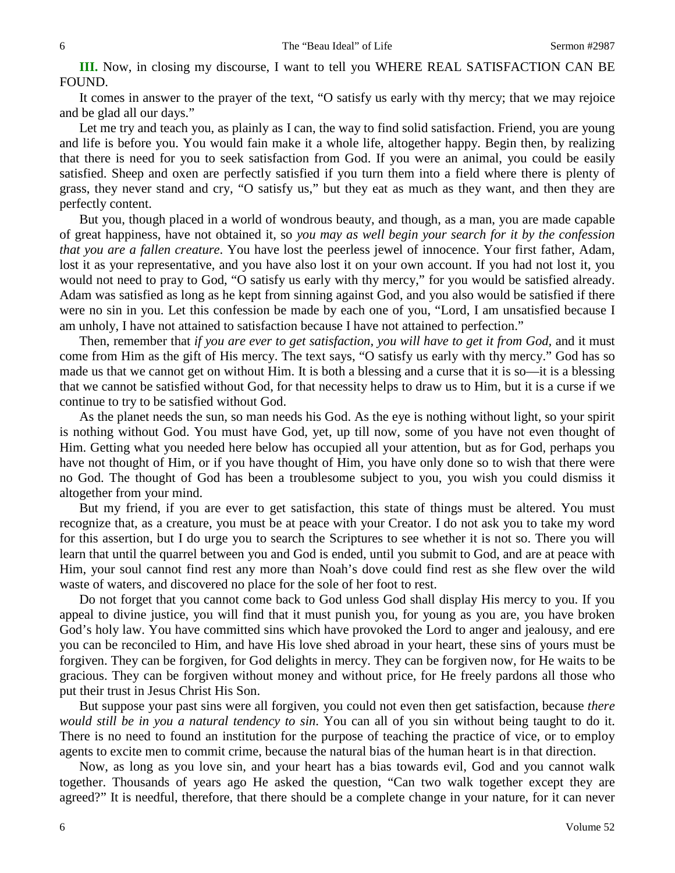**III.** Now, in closing my discourse, I want to tell you WHERE REAL SATISFACTION CAN BE FOUND.

It comes in answer to the prayer of the text, "O satisfy us early with thy mercy; that we may rejoice and be glad all our days."

Let me try and teach you, as plainly as I can, the way to find solid satisfaction. Friend, you are young and life is before you. You would fain make it a whole life, altogether happy. Begin then, by realizing that there is need for you to seek satisfaction from God. If you were an animal, you could be easily satisfied. Sheep and oxen are perfectly satisfied if you turn them into a field where there is plenty of grass, they never stand and cry, "O satisfy us," but they eat as much as they want, and then they are perfectly content.

But you, though placed in a world of wondrous beauty, and though, as a man, you are made capable of great happiness, have not obtained it, so *you may as well begin your search for it by the confession that you are a fallen creature*. You have lost the peerless jewel of innocence. Your first father, Adam, lost it as your representative, and you have also lost it on your own account. If you had not lost it, you would not need to pray to God, "O satisfy us early with thy mercy," for you would be satisfied already. Adam was satisfied as long as he kept from sinning against God, and you also would be satisfied if there were no sin in you. Let this confession be made by each one of you, "Lord, I am unsatisfied because I am unholy, I have not attained to satisfaction because I have not attained to perfection."

Then, remember that *if you are ever to get satisfaction, you will have to get it from God,* and it must come from Him as the gift of His mercy. The text says, "O satisfy us early with thy mercy." God has so made us that we cannot get on without Him. It is both a blessing and a curse that it is so—it is a blessing that we cannot be satisfied without God, for that necessity helps to draw us to Him, but it is a curse if we continue to try to be satisfied without God.

As the planet needs the sun, so man needs his God. As the eye is nothing without light, so your spirit is nothing without God. You must have God, yet, up till now, some of you have not even thought of Him. Getting what you needed here below has occupied all your attention, but as for God, perhaps you have not thought of Him, or if you have thought of Him, you have only done so to wish that there were no God. The thought of God has been a troublesome subject to you, you wish you could dismiss it altogether from your mind.

But my friend, if you are ever to get satisfaction, this state of things must be altered. You must recognize that, as a creature, you must be at peace with your Creator. I do not ask you to take my word for this assertion, but I do urge you to search the Scriptures to see whether it is not so. There you will learn that until the quarrel between you and God is ended, until you submit to God, and are at peace with Him, your soul cannot find rest any more than Noah's dove could find rest as she flew over the wild waste of waters, and discovered no place for the sole of her foot to rest.

Do not forget that you cannot come back to God unless God shall display His mercy to you. If you appeal to divine justice, you will find that it must punish you, for young as you are, you have broken God's holy law. You have committed sins which have provoked the Lord to anger and jealousy, and ere you can be reconciled to Him, and have His love shed abroad in your heart, these sins of yours must be forgiven. They can be forgiven, for God delights in mercy. They can be forgiven now, for He waits to be gracious. They can be forgiven without money and without price, for He freely pardons all those who put their trust in Jesus Christ His Son.

But suppose your past sins were all forgiven, you could not even then get satisfaction, because *there would still be in you a natural tendency to sin*. You can all of you sin without being taught to do it. There is no need to found an institution for the purpose of teaching the practice of vice, or to employ agents to excite men to commit crime, because the natural bias of the human heart is in that direction.

Now, as long as you love sin, and your heart has a bias towards evil, God and you cannot walk together. Thousands of years ago He asked the question, "Can two walk together except they are agreed?" It is needful, therefore, that there should be a complete change in your nature, for it can never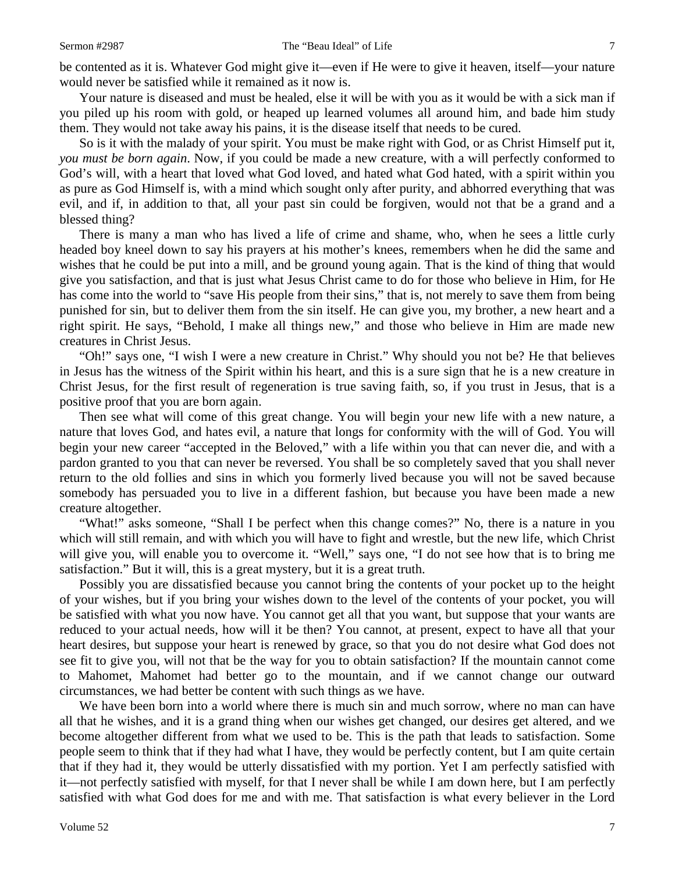be contented as it is. Whatever God might give it—even if He were to give it heaven, itself—your nature would never be satisfied while it remained as it now is.

Your nature is diseased and must be healed, else it will be with you as it would be with a sick man if you piled up his room with gold, or heaped up learned volumes all around him, and bade him study them. They would not take away his pains, it is the disease itself that needs to be cured.

So is it with the malady of your spirit. You must be make right with God, or as Christ Himself put it, *you must be born again*. Now, if you could be made a new creature, with a will perfectly conformed to God's will, with a heart that loved what God loved, and hated what God hated, with a spirit within you as pure as God Himself is, with a mind which sought only after purity, and abhorred everything that was evil, and if, in addition to that, all your past sin could be forgiven, would not that be a grand and a blessed thing?

There is many a man who has lived a life of crime and shame, who, when he sees a little curly headed boy kneel down to say his prayers at his mother's knees, remembers when he did the same and wishes that he could be put into a mill, and be ground young again. That is the kind of thing that would give you satisfaction, and that is just what Jesus Christ came to do for those who believe in Him, for He has come into the world to "save His people from their sins," that is, not merely to save them from being punished for sin, but to deliver them from the sin itself. He can give you, my brother, a new heart and a right spirit. He says, "Behold, I make all things new," and those who believe in Him are made new creatures in Christ Jesus.

"Oh!" says one, "I wish I were a new creature in Christ." Why should you not be? He that believes in Jesus has the witness of the Spirit within his heart, and this is a sure sign that he is a new creature in Christ Jesus, for the first result of regeneration is true saving faith, so, if you trust in Jesus, that is a positive proof that you are born again.

Then see what will come of this great change. You will begin your new life with a new nature, a nature that loves God, and hates evil, a nature that longs for conformity with the will of God. You will begin your new career "accepted in the Beloved," with a life within you that can never die, and with a pardon granted to you that can never be reversed. You shall be so completely saved that you shall never return to the old follies and sins in which you formerly lived because you will not be saved because somebody has persuaded you to live in a different fashion, but because you have been made a new creature altogether.

"What!" asks someone, "Shall I be perfect when this change comes?" No, there is a nature in you which will still remain, and with which you will have to fight and wrestle, but the new life, which Christ will give you, will enable you to overcome it. "Well," says one, "I do not see how that is to bring me satisfaction." But it will, this is a great mystery, but it is a great truth.

Possibly you are dissatisfied because you cannot bring the contents of your pocket up to the height of your wishes, but if you bring your wishes down to the level of the contents of your pocket, you will be satisfied with what you now have. You cannot get all that you want, but suppose that your wants are reduced to your actual needs, how will it be then? You cannot, at present, expect to have all that your heart desires, but suppose your heart is renewed by grace, so that you do not desire what God does not see fit to give you, will not that be the way for you to obtain satisfaction? If the mountain cannot come to Mahomet, Mahomet had better go to the mountain, and if we cannot change our outward circumstances, we had better be content with such things as we have.

We have been born into a world where there is much sin and much sorrow, where no man can have all that he wishes, and it is a grand thing when our wishes get changed, our desires get altered, and we become altogether different from what we used to be. This is the path that leads to satisfaction. Some people seem to think that if they had what I have, they would be perfectly content, but I am quite certain that if they had it, they would be utterly dissatisfied with my portion. Yet I am perfectly satisfied with it—not perfectly satisfied with myself, for that I never shall be while I am down here, but I am perfectly satisfied with what God does for me and with me. That satisfaction is what every believer in the Lord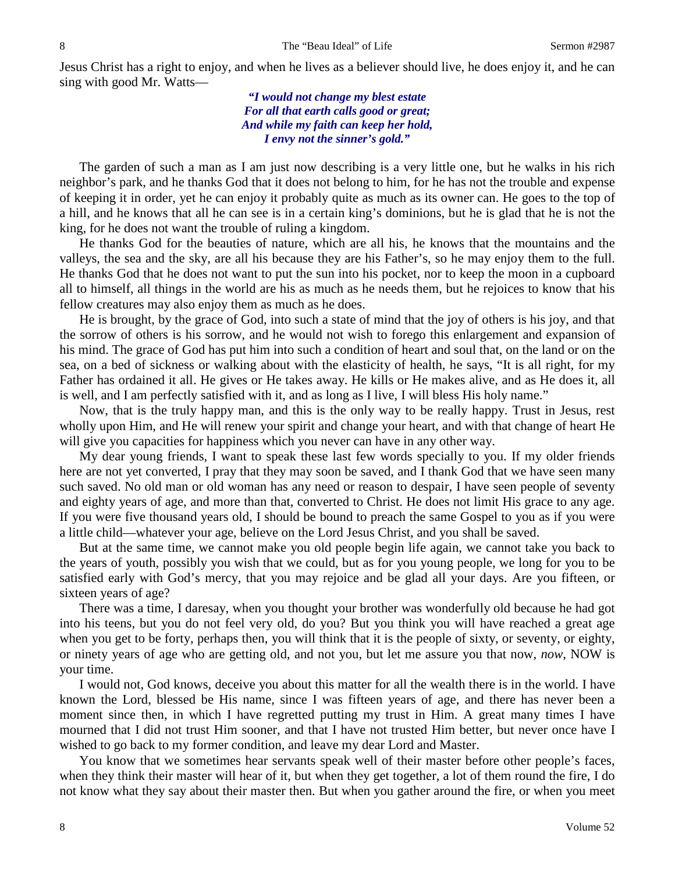Jesus Christ has a right to enjoy, and when he lives as a believer should live, he does enjoy it, and he can sing with good Mr. Watts—

> *"I would not change my blest estate For all that earth calls good or great; And while my faith can keep her hold, I envy not the sinner's gold."*

The garden of such a man as I am just now describing is a very little one, but he walks in his rich neighbor's park, and he thanks God that it does not belong to him, for he has not the trouble and expense of keeping it in order, yet he can enjoy it probably quite as much as its owner can. He goes to the top of a hill, and he knows that all he can see is in a certain king's dominions, but he is glad that he is not the king, for he does not want the trouble of ruling a kingdom.

He thanks God for the beauties of nature, which are all his, he knows that the mountains and the valleys, the sea and the sky, are all his because they are his Father's, so he may enjoy them to the full. He thanks God that he does not want to put the sun into his pocket, nor to keep the moon in a cupboard all to himself, all things in the world are his as much as he needs them, but he rejoices to know that his fellow creatures may also enjoy them as much as he does.

He is brought, by the grace of God, into such a state of mind that the joy of others is his joy, and that the sorrow of others is his sorrow, and he would not wish to forego this enlargement and expansion of his mind. The grace of God has put him into such a condition of heart and soul that, on the land or on the sea, on a bed of sickness or walking about with the elasticity of health, he says, "It is all right, for my Father has ordained it all. He gives or He takes away. He kills or He makes alive, and as He does it, all is well, and I am perfectly satisfied with it, and as long as I live, I will bless His holy name."

Now, that is the truly happy man, and this is the only way to be really happy. Trust in Jesus, rest wholly upon Him, and He will renew your spirit and change your heart, and with that change of heart He will give you capacities for happiness which you never can have in any other way.

My dear young friends, I want to speak these last few words specially to you. If my older friends here are not yet converted, I pray that they may soon be saved, and I thank God that we have seen many such saved. No old man or old woman has any need or reason to despair, I have seen people of seventy and eighty years of age, and more than that, converted to Christ. He does not limit His grace to any age. If you were five thousand years old, I should be bound to preach the same Gospel to you as if you were a little child—whatever your age, believe on the Lord Jesus Christ, and you shall be saved.

But at the same time, we cannot make you old people begin life again, we cannot take you back to the years of youth, possibly you wish that we could, but as for you young people, we long for you to be satisfied early with God's mercy, that you may rejoice and be glad all your days. Are you fifteen, or sixteen years of age?

There was a time, I daresay, when you thought your brother was wonderfully old because he had got into his teens, but you do not feel very old, do you? But you think you will have reached a great age when you get to be forty, perhaps then, you will think that it is the people of sixty, or seventy, or eighty, or ninety years of age who are getting old, and not you, but let me assure you that now, *now*, NOW is your time.

I would not, God knows, deceive you about this matter for all the wealth there is in the world. I have known the Lord, blessed be His name, since I was fifteen years of age, and there has never been a moment since then, in which I have regretted putting my trust in Him. A great many times I have mourned that I did not trust Him sooner, and that I have not trusted Him better, but never once have I wished to go back to my former condition, and leave my dear Lord and Master.

You know that we sometimes hear servants speak well of their master before other people's faces, when they think their master will hear of it, but when they get together, a lot of them round the fire, I do not know what they say about their master then. But when you gather around the fire, or when you meet